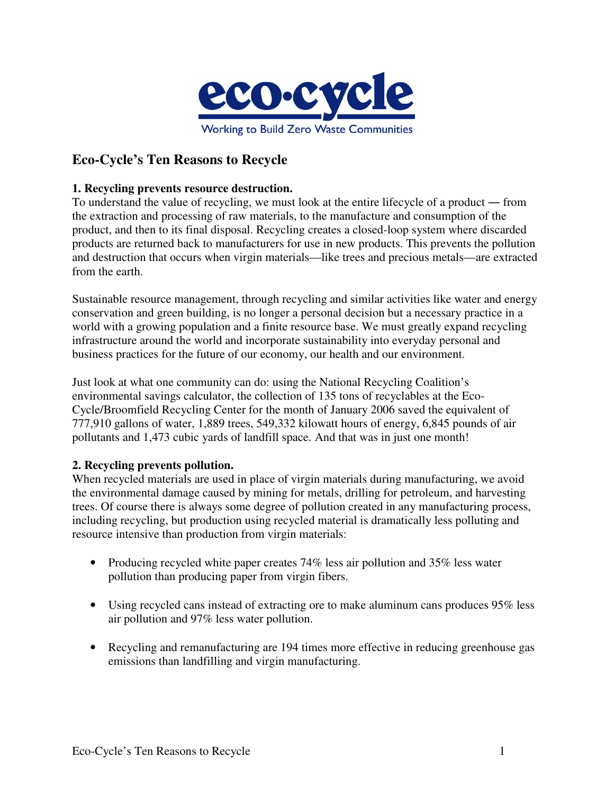

# **Eco-Cycle's Ten Reasons to Recycle**

### **1. Recycling prevents resource destruction.**

To understand the value of recycling, we must look at the entire lifecycle of a product ― from the extraction and processing of raw materials, to the manufacture and consumption of the product, and then to its final disposal. Recycling creates a closed-loop system where discarded products are returned back to manufacturers for use in new products. This prevents the pollution and destruction that occurs when virgin materials—like trees and precious metals—are extracted from the earth.

Sustainable resource management, through recycling and similar activities like water and energy conservation and green building, is no longer a personal decision but a necessary practice in a world with a growing population and a finite resource base. We must greatly expand recycling infrastructure around the world and incorporate sustainability into everyday personal and business practices for the future of our economy, our health and our environment.

Just look at what one community can do: using the National Recycling Coalition's environmental savings calculator, the collection of 135 tons of recyclables at the Eco-Cycle/Broomfield Recycling Center for the month of January 2006 saved the equivalent of 777,910 gallons of water, 1,889 trees, 549,332 kilowatt hours of energy, 6,845 pounds of air pollutants and 1,473 cubic yards of landfill space. And that was in just one month!

#### **2. Recycling prevents pollution.**

When recycled materials are used in place of virgin materials during manufacturing, we avoid the environmental damage caused by mining for metals, drilling for petroleum, and harvesting trees. Of course there is always some degree of pollution created in any manufacturing process, including recycling, but production using recycled material is dramatically less polluting and resource intensive than production from virgin materials:

- Producing recycled white paper creates 74% less air pollution and 35% less water pollution than producing paper from virgin fibers.
- Using recycled cans instead of extracting ore to make aluminum cans produces 95% less air pollution and 97% less water pollution.
- Recycling and remanufacturing are 194 times more effective in reducing greenhouse gas emissions than landfilling and virgin manufacturing.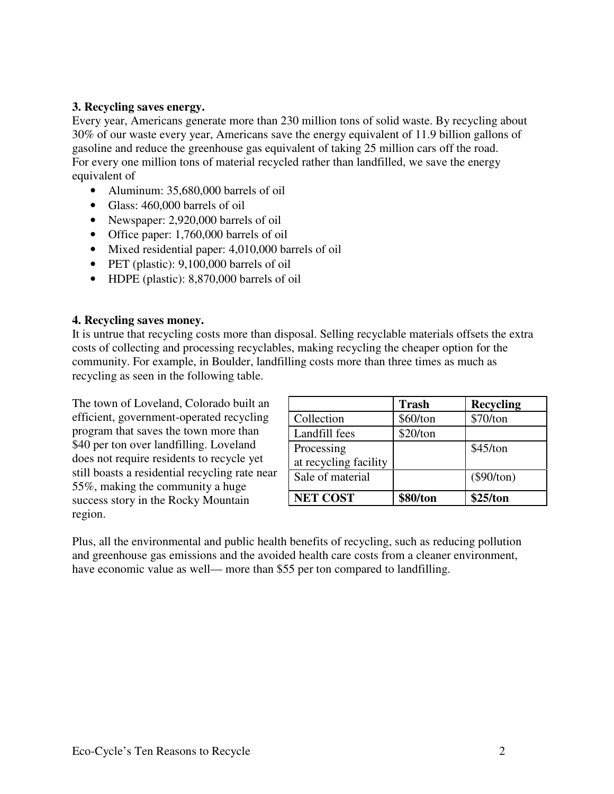### **3. Recycling saves energy.**

Every year, Americans generate more than 230 million tons of solid waste. By recycling about 30% of our waste every year, Americans save the energy equivalent of 11.9 billion gallons of gasoline and reduce the greenhouse gas equivalent of taking 25 million cars off the road. For every one million tons of material recycled rather than landfilled, we save the energy equivalent of

- Aluminum: 35,680,000 barrels of oil
- Glass: 460,000 barrels of oil
- Newspaper: 2,920,000 barrels of oil
- Office paper: 1,760,000 barrels of oil
- Mixed residential paper: 4,010,000 barrels of oil
- PET (plastic): 9,100,000 barrels of oil
- HDPE (plastic): 8,870,000 barrels of oil

#### **4. Recycling saves money.**

It is untrue that recycling costs more than disposal. Selling recyclable materials offsets the extra costs of collecting and processing recyclables, making recycling the cheaper option for the community. For example, in Boulder, landfilling costs more than three times as much as recycling as seen in the following table.

The town of Loveland, Colorado built an efficient, government-operated recycling program that saves the town more than \$40 per ton over landfilling. Loveland does not require residents to recycle yet still boasts a residential recycling rate near 55%, making the community a huge success story in the Rocky Mountain region.

|                       | <b>Trash</b> | <b>Recycling</b> |
|-----------------------|--------------|------------------|
| Collection            | \$60/ton     | \$70/ton         |
| Landfill fees         | \$20/ton     |                  |
| Processing            |              | \$45/ton         |
| at recycling facility |              |                  |
| Sale of material      |              | $(\$90/ton)$     |
| <b>NET COST</b>       | \$80/ton     | \$25/ton         |

Plus, all the environmental and public health benefits of recycling, such as reducing pollution and greenhouse gas emissions and the avoided health care costs from a cleaner environment, have economic value as well— more than \$55 per ton compared to landfilling.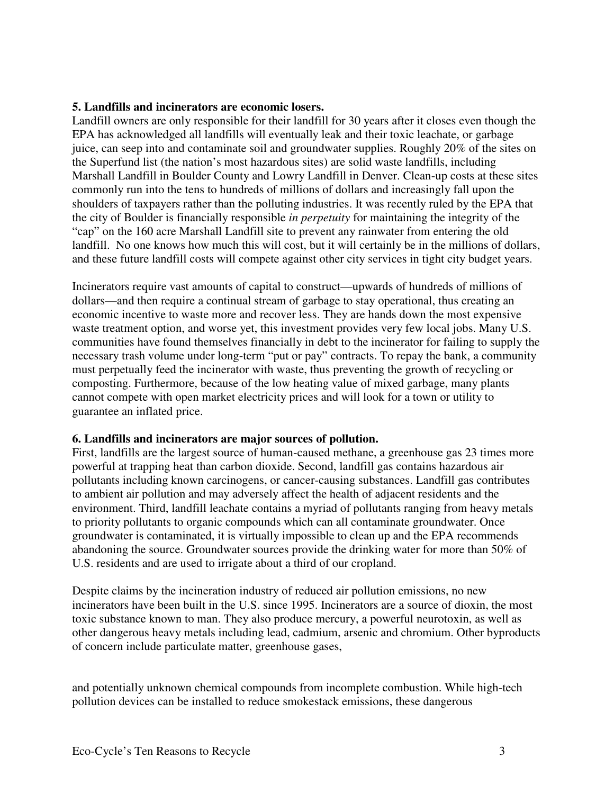#### **5. Landfills and incinerators are economic losers.**

Landfill owners are only responsible for their landfill for 30 years after it closes even though the EPA has acknowledged all landfills will eventually leak and their toxic leachate, or garbage juice, can seep into and contaminate soil and groundwater supplies. Roughly 20% of the sites on the Superfund list (the nation's most hazardous sites) are solid waste landfills, including Marshall Landfill in Boulder County and Lowry Landfill in Denver. Clean-up costs at these sites commonly run into the tens to hundreds of millions of dollars and increasingly fall upon the shoulders of taxpayers rather than the polluting industries. It was recently ruled by the EPA that the city of Boulder is financially responsible *in perpetuity* for maintaining the integrity of the "cap" on the 160 acre Marshall Landfill site to prevent any rainwater from entering the old landfill. No one knows how much this will cost, but it will certainly be in the millions of dollars, and these future landfill costs will compete against other city services in tight city budget years.

Incinerators require vast amounts of capital to construct—upwards of hundreds of millions of dollars—and then require a continual stream of garbage to stay operational, thus creating an economic incentive to waste more and recover less. They are hands down the most expensive waste treatment option, and worse yet, this investment provides very few local jobs. Many U.S. communities have found themselves financially in debt to the incinerator for failing to supply the necessary trash volume under long-term "put or pay" contracts. To repay the bank, a community must perpetually feed the incinerator with waste, thus preventing the growth of recycling or composting. Furthermore, because of the low heating value of mixed garbage, many plants cannot compete with open market electricity prices and will look for a town or utility to guarantee an inflated price.

# **6. Landfills and incinerators are major sources of pollution.**

First, landfills are the largest source of human-caused methane, a greenhouse gas 23 times more powerful at trapping heat than carbon dioxide. Second, landfill gas contains hazardous air pollutants including known carcinogens, or cancer-causing substances. Landfill gas contributes to ambient air pollution and may adversely affect the health of adjacent residents and the environment. Third, landfill leachate contains a myriad of pollutants ranging from heavy metals to priority pollutants to organic compounds which can all contaminate groundwater. Once groundwater is contaminated, it is virtually impossible to clean up and the EPA recommends abandoning the source. Groundwater sources provide the drinking water for more than 50% of U.S. residents and are used to irrigate about a third of our cropland.

Despite claims by the incineration industry of reduced air pollution emissions, no new incinerators have been built in the U.S. since 1995. Incinerators are a source of dioxin, the most toxic substance known to man. They also produce mercury, a powerful neurotoxin, as well as other dangerous heavy metals including lead, cadmium, arsenic and chromium. Other byproducts of concern include particulate matter, greenhouse gases,

and potentially unknown chemical compounds from incomplete combustion. While high-tech pollution devices can be installed to reduce smokestack emissions, these dangerous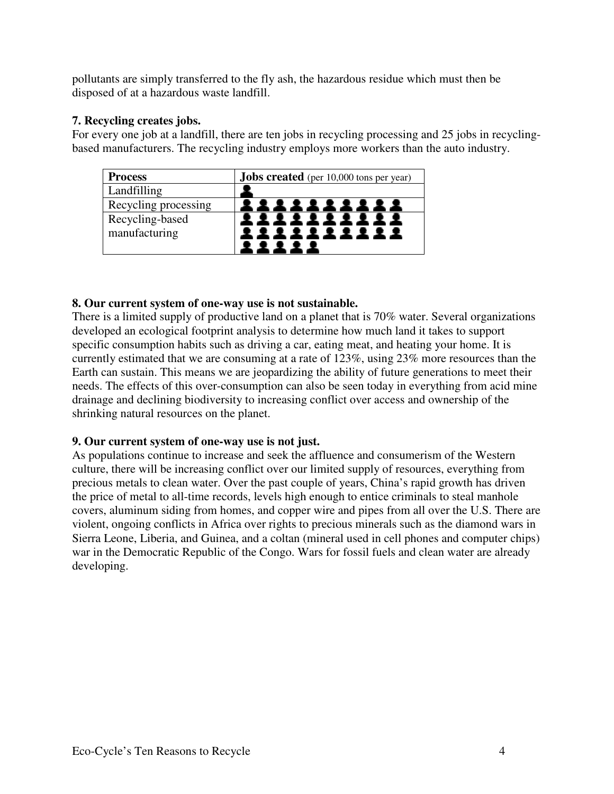pollutants are simply transferred to the fly ash, the hazardous residue which must then be disposed of at a hazardous waste landfill.

# **7. Recycling creates jobs.**

For every one job at a landfill, there are ten jobs in recycling processing and 25 jobs in recyclingbased manufacturers. The recycling industry employs more workers than the auto industry.

| <b>Process</b>       | <b>Jobs created</b> (per 10,000 tons per year) |  |
|----------------------|------------------------------------------------|--|
| Landfilling          |                                                |  |
| Recycling processing |                                                |  |
| Recycling-based      |                                                |  |
| manufacturing        |                                                |  |
|                      |                                                |  |

# **8. Our current system of one-way use is not sustainable.**

There is a limited supply of productive land on a planet that is 70% water. Several organizations developed an ecological footprint analysis to determine how much land it takes to support specific consumption habits such as driving a car, eating meat, and heating your home. It is currently estimated that we are consuming at a rate of 123%, using 23% more resources than the Earth can sustain. This means we are jeopardizing the ability of future generations to meet their needs. The effects of this over-consumption can also be seen today in everything from acid mine drainage and declining biodiversity to increasing conflict over access and ownership of the shrinking natural resources on the planet.

# **9. Our current system of one-way use is not just.**

As populations continue to increase and seek the affluence and consumerism of the Western culture, there will be increasing conflict over our limited supply of resources, everything from precious metals to clean water. Over the past couple of years, China's rapid growth has driven the price of metal to all-time records, levels high enough to entice criminals to steal manhole covers, aluminum siding from homes, and copper wire and pipes from all over the U.S. There are violent, ongoing conflicts in Africa over rights to precious minerals such as the diamond wars in Sierra Leone, Liberia, and Guinea, and a coltan (mineral used in cell phones and computer chips) war in the Democratic Republic of the Congo. Wars for fossil fuels and clean water are already developing.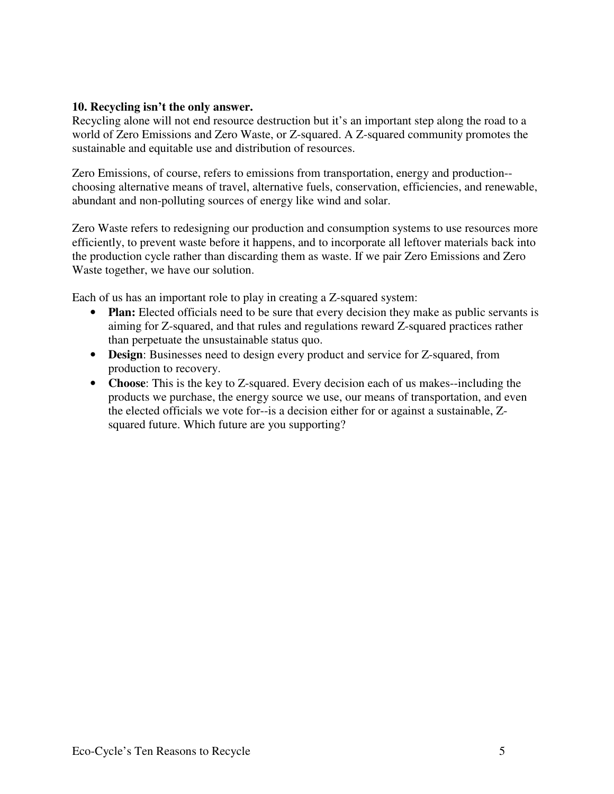#### **10. Recycling isn't the only answer.**

Recycling alone will not end resource destruction but it's an important step along the road to a world of Zero Emissions and Zero Waste, or Z-squared. A Z-squared community promotes the sustainable and equitable use and distribution of resources.

Zero Emissions, of course, refers to emissions from transportation, energy and production- choosing alternative means of travel, alternative fuels, conservation, efficiencies, and renewable, abundant and non-polluting sources of energy like wind and solar.

Zero Waste refers to redesigning our production and consumption systems to use resources more efficiently, to prevent waste before it happens, and to incorporate all leftover materials back into the production cycle rather than discarding them as waste. If we pair Zero Emissions and Zero Waste together, we have our solution.

Each of us has an important role to play in creating a Z-squared system:

- **Plan:** Elected officials need to be sure that every decision they make as public servants is aiming for Z-squared, and that rules and regulations reward Z-squared practices rather than perpetuate the unsustainable status quo.
- **Design**: Businesses need to design every product and service for Z-squared, from production to recovery.
- **Choose**: This is the key to Z-squared. Every decision each of us makes--including the products we purchase, the energy source we use, our means of transportation, and even the elected officials we vote for--is a decision either for or against a sustainable, Zsquared future. Which future are you supporting?